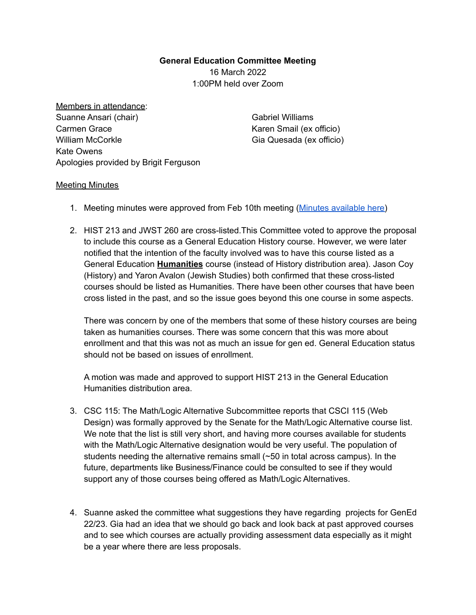## **General Education Committee Meeting** 16 March 2022

1:00PM held over Zoom

Members in attendance: Suanne Ansari (chair) Carmen Grace William McCorkle Kate Owens Apologies provided by Brigit Ferguson

Gabriel Williams Karen Smail (ex officio) Gia Quesada (ex officio)

## Meeting Minutes

- 1. Meeting minutes were approved from Feb 10th meeting (Minutes [available](https://docs.google.com/document/d/13JHnlAhYwqaHOY6reTrLfv9rQgY7JrJoLM2N6mPb7KQ/edit) here)
- 2. HIST 213 and JWST 260 are cross-listed.This Committee voted to approve the proposal to include this course as a General Education History course. However, we were later notified that the intention of the faculty involved was to have this course listed as a General Education **Humanities** course (instead of History distribution area). Jason Coy (History) and Yaron Avalon (Jewish Studies) both confirmed that these cross-listed courses should be listed as Humanities. There have been other courses that have been cross listed in the past, and so the issue goes beyond this one course in some aspects.

There was concern by one of the members that some of these history courses are being taken as humanities courses. There was some concern that this was more about enrollment and that this was not as much an issue for gen ed. General Education status should not be based on issues of enrollment.

A motion was made and approved to support HIST 213 in the General Education Humanities distribution area.

- 3. CSC 115: The Math/Logic Alternative Subcommittee reports that CSCI 115 (Web Design) was formally approved by the Senate for the Math/Logic Alternative course list. We note that the list is still very short, and having more courses available for students with the Math/Logic Alternative designation would be very useful. The population of students needing the alternative remains small  $(\sim 50$  in total across campus). In the future, departments like Business/Finance could be consulted to see if they would support any of those courses being offered as Math/Logic Alternatives.
- 4. Suanne asked the committee what suggestions they have regarding projects for GenEd 22/23. Gia had an idea that we should go back and look back at past approved courses and to see which courses are actually providing assessment data especially as it might be a year where there are less proposals.